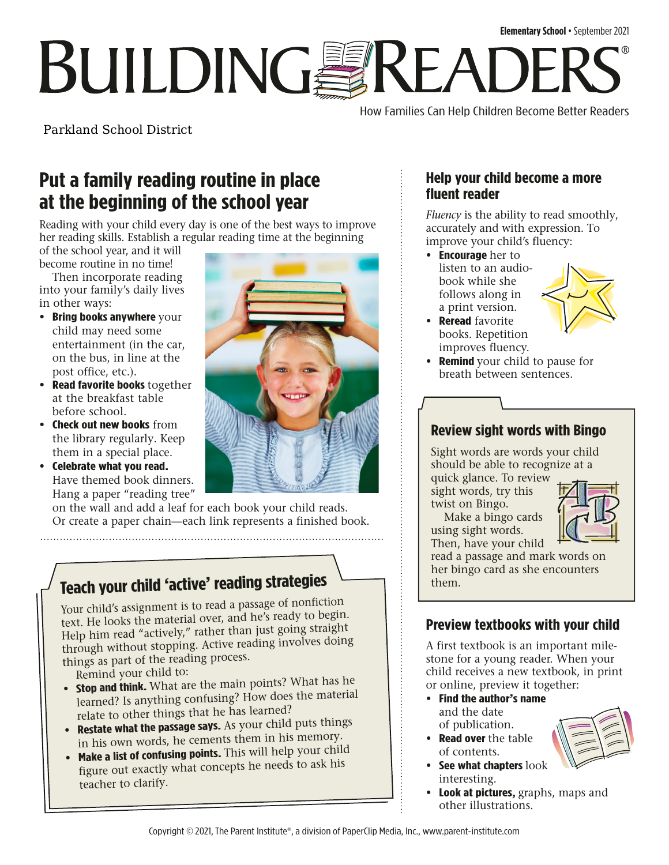# **BUILDINGSREADI** ®

How Families Can Help Children Become Better Readers

Parkland School District

## **Put a family reading routine in place at the beginning of the school year**

Reading with your child every day is one of the best ways to improve her reading skills. Establish a regular reading time at the beginning

of the school year, and it will become routine in no time!

Then incorporate reading into your family's daily lives in other ways:

- **• Bring books anywhere** your child may need some entertainment (in the car, on the bus, in line at the post office, etc.).
- **• Read favorite books** together at the breakfast table before school.
- **• Check out new books** from the library regularly. Keep them in a special place.
- **• Celebrate what you read.** Have themed book dinners. Hang a paper "reading tree"



on the wall and add a leaf for each book your child reads. Or create a paper chain—each link represents a finished book.

# **Teach your child 'active' reading strategies**

Your child's assignment is to read a passage of nonfiction text. He looks the material over, and he's ready to begin. Help him read "actively," rather than just going straight through without stopping. Active reading involves doing things as part of the reading process.

Remind your child to:

- **Stop and think.** What are the main points? What has he learned? Is anything confusing? How does the material relate to other things that he has learned?
- **• Restate what the passage says.** As your child puts things in his own words, he cements them in his memory.
- **Make a list of confusing points.** This will help your child figure out exactly what concepts he needs to ask his teacher to clarify.

#### **Help your child become a more fluent reader**

*Fluency* is the ability to read smoothly, accurately and with expression. To improve your child's fluency:

**• Encourage** her to listen to an audiobook while she follows along in a print version.



- **• Reread** favorite books. Repetition improves fluency.
- **• Remind** your child to pause for breath between sentences.

### **Review sight words with Bingo**

Sight words are words your child should be able to recognize at a

quick glance. To review sight words, try this twist on Bingo.

Make a bingo cards using sight words.



Then, have your child read a passage and mark words on her bingo card as she encounters them.

## **Preview textbooks with your child**

A first textbook is an important milestone for a young reader. When your child receives a new textbook, in print or online, preview it together:

- **• Find the author's name**  and the date of publication.
- **• Read over** the table of contents.
- **• See what chapters** look interesting.
- **• Look at pictures,** graphs, maps and other illustrations.